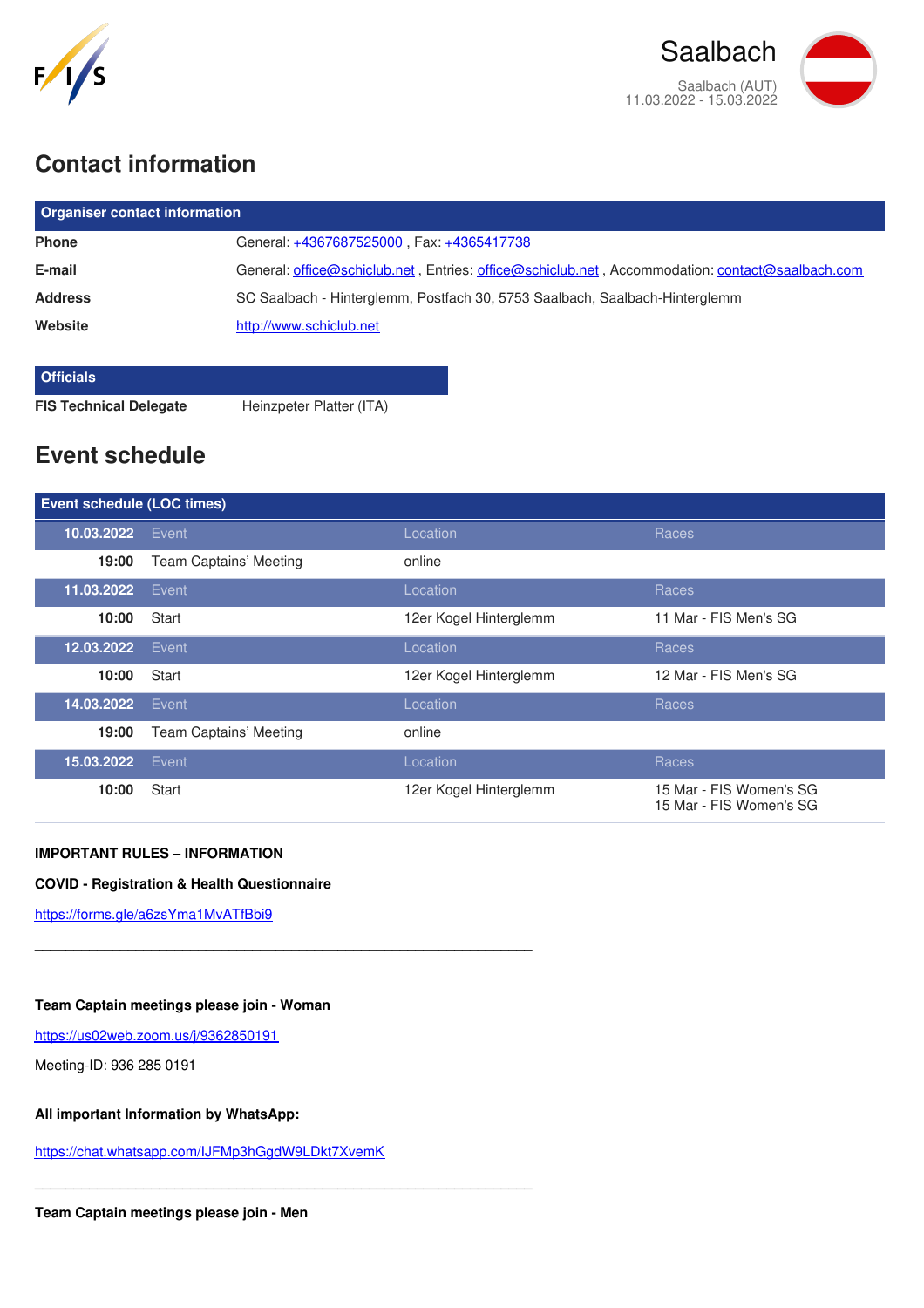



# **Contact information**

| <b>Organiser contact information</b> |                                                                                                 |  |  |
|--------------------------------------|-------------------------------------------------------------------------------------------------|--|--|
| <b>Phone</b>                         | General: +4367687525000, Fax: +4365417738                                                       |  |  |
| E-mail                               | General: office@schiclub.net, Entries: office@schiclub.net, Accommodation: contact@saalbach.com |  |  |
| <b>Address</b>                       | SC Saalbach - Hinterglemm, Postfach 30, 5753 Saalbach, Saalbach-Hinterglemm                     |  |  |
| Website                              | http://www.schiclub.net                                                                         |  |  |
|                                      |                                                                                                 |  |  |

#### **Officials**

**FIS Technical Delegate** Heinzpeter Platter (ITA)

# **Event schedule**

| <b>Event schedule (LOC times)</b> |                        |                        |                                                    |
|-----------------------------------|------------------------|------------------------|----------------------------------------------------|
| 10.03.2022                        | Event                  | Location               | Races                                              |
| 19:00                             | Team Captains' Meeting | online                 |                                                    |
| 11.03.2022                        | Event                  | Location               | Races                                              |
| 10:00                             | Start                  | 12er Kogel Hinterglemm | 11 Mar - FIS Men's SG                              |
| 12.03.2022                        | Event                  | Location               | Races                                              |
| 10:00                             | Start                  | 12er Kogel Hinterglemm | 12 Mar - FIS Men's SG                              |
| 14.03.2022                        | Event                  | Location               | Races                                              |
| 19:00                             | Team Captains' Meeting | online                 |                                                    |
| 15.03.2022                        | Event                  | Location               | Races                                              |
| 10:00                             | Start                  | 12er Kogel Hinterglemm | 15 Mar - FIS Women's SG<br>15 Mar - FIS Women's SG |

## **IMPORTANT RULES – INFORMATION**

### **COVID - Registration & Health Questionnaire**

\_\_\_\_\_\_\_\_\_\_\_\_\_\_\_\_\_\_\_\_\_\_\_\_\_\_\_\_\_\_\_\_\_\_\_\_\_\_\_\_\_\_\_\_\_\_\_\_\_\_\_\_\_\_\_\_\_\_\_\_\_\_\_\_

**\_\_\_\_\_\_\_\_\_\_\_\_\_\_\_\_\_\_\_\_\_\_\_\_\_\_\_\_\_\_\_\_\_\_\_\_\_\_\_\_\_\_\_\_\_\_\_\_\_\_\_\_\_\_\_\_\_\_\_\_\_\_\_\_**

<https://forms.gle/a6zsYma1MvATfBbi9>

#### **Team Captain meetings please join - Woman**

<https://us02web.zoom.us/j/9362850191>

Meeting-ID: 936 285 0191

### **All important Information by WhatsApp:**

<https://chat.whatsapp.com/IJFMp3hGgdW9LDkt7XvemK>